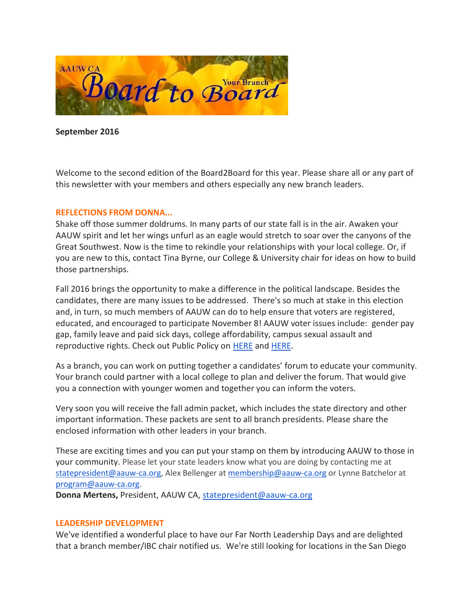

**September 2016**

Welcome to the second edition of the Board2Board for this year. Please share all or any part of this newsletter with your members and others especially any new branch leaders.

# **REFLECTIONS FROM DONNA...**

Shake off those summer doldrums. In many parts of our state fall is in the air. Awaken your AAUW spirit and let her wings unfurl as an eagle would stretch to soar over the canyons of the Great Southwest. Now is the time to rekindle your relationships with your local college. Or, if you are new to this, contact Tina Byrne, our College & University chair for ideas on how to build those partnerships.

Fall 2016 brings the opportunity to make a difference in the political landscape. Besides the candidates, there are many issues to be addressed. There's so much at stake in this election and, in turn, so much members of AAUW can do to help ensure that voters are registered, educated, and encouraged to participate November 8! AAUW voter issues include: gender pay gap, family leave and paid sick days, college affordability, campus sexual assault and reproductive rights. Check out Public Policy on [HERE](http://www.aauw.org/) and [HERE.](http://www.aauw-ca.org/index.cfm?go=pages.view&pagesid=489&parent=445&coparent=489)

As a branch, you can work on putting together a candidates' forum to educate your community. Your branch could partner with a local college to plan and deliver the forum. That would give you a connection with younger women and together you can inform the voters.

Very soon you will receive the fall admin packet, which includes the state directory and other important information. These packets are sent to all branch presidents. Please share the enclosed information with other leaders in your branch.

These are exciting times and you can put your stamp on them by introducing AAUW to those in your community. Please let your state leaders know what you are doing by contacting me at [statepresident@aauw-ca.org,](mailto:statepresident@aauw-ca.org) Alex Bellenger a[t membership@aauw-ca.org](mailto:membership@aauw-ca.org) or Lynne Batchelor at [program@aauw-ca.org.](mailto:program@aauw-ca.org)

**Donna Mertens,** President, AAUW CA[, statepresident@aauw-ca.org](mailto:statepresident@aauw-ca.org)

### **LEADERSHIP DEVELOPMENT**

We've identified a wonderful place to have our Far North Leadership Days and are delighted that a branch member/IBC chair notified us. We're still looking for locations in the San Diego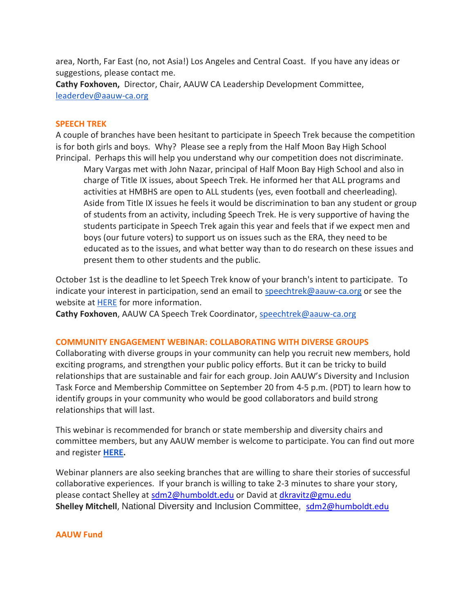area, North, Far East (no, not Asia!) Los Angeles and Central Coast. If you have any ideas or suggestions, please contact me.

**Cathy Foxhoven,** Director, Chair, AAUW CA Leadership Development Committee, [leaderdev@aauw-ca.org](mailto:leaderdev@aauw-ca.org)

### **SPEECH TREK**

A couple of branches have been hesitant to participate in Speech Trek because the competition is for both girls and boys. Why? Please see a reply from the Half Moon Bay High School Principal. Perhaps this will help you understand why our competition does not discriminate.

Mary Vargas met with John Nazar, principal of Half Moon Bay High School and also in charge of Title IX issues, about Speech Trek. He informed her that ALL programs and activities at HMBHS are open to ALL students (yes, even football and cheerleading). Aside from Title IX issues he feels it would be discrimination to ban any student or group of students from an activity, including Speech Trek. He is very supportive of having the students participate in Speech Trek again this year and feels that if we expect men and boys (our future voters) to support us on issues such as the ERA, they need to be educated as to the issues, and what better way than to do research on these issues and present them to other students and the public.

October 1st is the deadline to let Speech Trek know of your branch's intent to participate. To indicate your interest in participation, send an email to [speechtrek@aauw-ca.org](mailto:speechtrek@aauw-ca.org) or see the website at [HERE](http://www.aauw-ca.org/index.cfm?go=pages.view&pagesid=337&parent=197&coparent=337) for more information.

**Cathy Foxhoven**, AAUW CA Speech Trek Coordinator, [speechtrek@aauw-ca.org](mailto:speechtrek@aauw-ca.org)

### **COMMUNITY ENGAGEMENT WEBINAR: COLLABORATING WITH DIVERSE GROUPS**

Collaborating with diverse groups in your community can help you recruit new members, hold exciting programs, and strengthen your public policy efforts. But it can be tricky to build relationships that are sustainable and fair for each group. Join AAUW's Diversity and Inclusion Task Force and Membership Committee on September 20 from 4-5 p.m. (PDT) to learn how to identify groups in your community who would be good collaborators and build strong relationships that will last.

This webinar is recommended for branch or state membership and diversity chairs and committee members, but any AAUW member is welcome to participate. You can find out more and register **[HERE.](http://www.aauw.org/event/2016/09/community-engagement-webinar-collaborating-with-diverse-groups/)**

Webinar planners are also seeking branches that are willing to share their stories of successful collaborative experiences. If your branch is willing to take 2-3 minutes to share your story, please contact Shelley at [sdm2@humboldt.edu](mailto:sdm2@humboldt.edu) or David at [dkravitz@gmu.edu](mailto:dkravitz@gmu.edu) Shelley Mitchell, National Diversity and Inclusion Committee, [sdm2@humboldt.edu](mailto:sdm2@humboldt.edu)

### **AAUW Fund**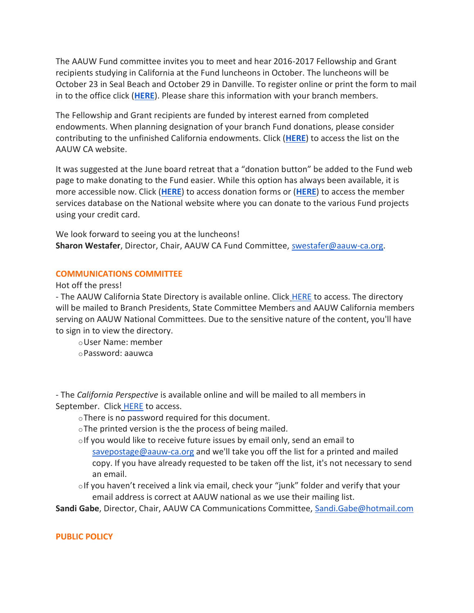The AAUW Fund committee invites you to meet and hear 2016-2017 Fellowship and Grant recipients studying in California at the Fund luncheons in October. The luncheons will be October 23 in Seal Beach and October 29 in Danville. To register online or print the form to mail in to the office click (**[HERE](http://www.aauw-ca.org/Assets/resources/Fund_Luncheons_Flyer_2016_members_Final.pdf)**). Please share this information with your branch members.

The Fellowship and Grant recipients are funded by interest earned from completed endowments. When planning designation of your branch Fund donations, please consider contributing to the unfinished California endowments. Click (**[HERE](http://www.aauw-ca.org/Assets/resources/California__Unfinished__Edowments__2016.pdf)**) to access the list on the AAUW CA website.

It was suggested at the June board retreat that a "donation button" be added to the Fund web page to make donating to the Fund easier. While this option has always been available, it is more accessible now. Click (**[HERE](http://www.aauw-ca.org/Assets/resources/2016_AAUW_CA_Funds_Contribution_Form_Individual-2016-2017.doc)**) to access donation forms or (**[HERE](https://ww2.aauw.org/donate-gift/)**) to access the member services database on the National website where you can donate to the various Fund projects using your credit card.

We look forward to seeing you at the luncheons! **Sharon Westafer**, Director, Chair, AAUW CA Fund Committee[, swestafer@aauw-ca.org.](mailto:swestafer@aauw-ca.org)

# **COMMUNICATIONS COMMITTEE**

Hot off the press!

- The AAUW California State Directory is available online. Click [HERE](http://www.aauw-ca.org/Assets/membersonly/Final_AAUW-CA_Directory_2015-2016b.compressed.pdf) to access. The directory will be mailed to Branch Presidents, State Committee Members and AAUW California members serving on AAUW National Committees. Due to the sensitive nature of the content, you'll have to sign in to view the directory.

oUser Name: member

oPassword: aauwca

- The *California Perspective* is available online and will be mailed to all members in September. Click [HERE](http://www.aauw-ca.org/Assets/resources/AAUW-CA_Perspective_2016_Fall_Print_160824.compressed.pdf) to access.

oThere is no password required for this document.

oThe printed version is the the process of being mailed.

- olf you would like to receive future issues by email only, send an email to [savepostage@aauw-ca.org](mailto:savepostage@aauw-ca.org) and we'll take you off the list for a printed and mailed copy. If you have already requested to be taken off the list, it's not necessary to send an email.
- $\circ$ If you haven't received a link via email, check your "junk" folder and verify that your email address is correct at AAUW national as we use their mailing list.

**Sandi Gabe**, Director, Chair, AAUW CA Communications Committee, [Sandi.Gabe@hotmail.com](mailto:Sandi.Gabe@hotmail.com)

# **PUBLIC POLICY**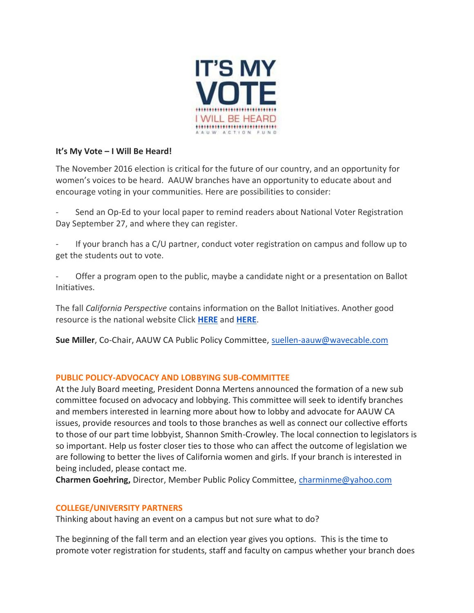

# **It's My Vote – I Will Be Heard!**

The November 2016 election is critical for the future of our country, and an opportunity for women's voices to be heard. AAUW branches have an opportunity to educate about and encourage voting in your communities. Here are possibilities to consider:

Send an Op-Ed to your local paper to remind readers about National Voter Registration Day September 27, and where they can register.

If your branch has a C/U partner, conduct voter registration on campus and follow up to get the students out to vote.

Offer a program open to the public, maybe a candidate night or a presentation on Ballot Initiatives.

The fall *California Perspective* contains information on the Ballot Initiatives. Another good resource is the national website Click **[HERE](https://www.aauwaction.org/voter-education/2016-voter-issue-guide/)** and **[HERE](https://www.aauwaction.org/wp-content/uploads/2015/11/GOTV-toolkit-nsa.pdf)**.

**Sue Miller**, Co-Chair, AAUW CA Public Policy Committee, [suellen-aauw@wavecable.com](mailto:suellen-aauw@wavecable.com)

# **PUBLIC POLICY-ADVOCACY AND LOBBYING SUB-COMMITTEE**

At the July Board meeting, President Donna Mertens announced the formation of a new sub committee focused on advocacy and lobbying. This committee will seek to identify branches and members interested in learning more about how to lobby and advocate for AAUW CA issues, provide resources and tools to those branches as well as connect our collective efforts to those of our part time lobbyist, Shannon Smith-Crowley. The local connection to legislators is so important. Help us foster closer ties to those who can affect the outcome of legislation we are following to better the lives of California women and girls. If your branch is interested in being included, please contact me.

**Charmen Goehring,** Director, Member Public Policy Committee, [charminme@yahoo.com](mailto:charminme@yahoo.com)

# **COLLEGE/UNIVERSITY PARTNERS**

Thinking about having an event on a campus but not sure what to do?

The beginning of the fall term and an election year gives you options. This is the time to promote voter registration for students, staff and faculty on campus whether your branch does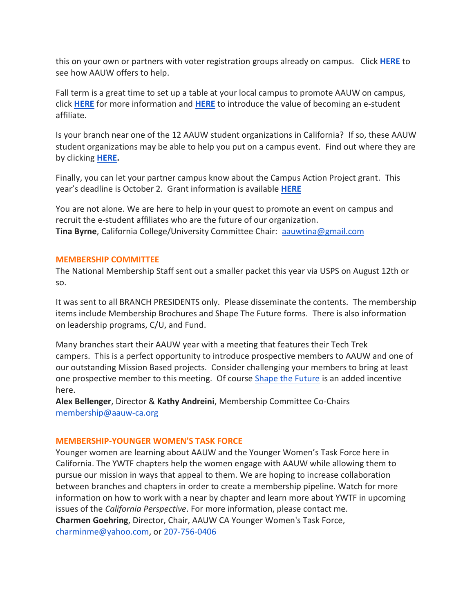this on your own or partners with voter registration groups already on campus. Click **[HERE](http://www.aauw.org/resource/voter-registration-on-campuses/)** to see how AAUW offers to help.

Fall term is a great time to set up a table at your local campus to promote AAUW on campus, click **[HERE](http://www.aauw.org/resource/how-to-tabling/)** for more information and **[HERE](http://www.aauw.org/student-member-join-renew)** to introduce the value of becoming an e-student affiliate.

Is your branch near one of the 12 AAUW student organizations in California? If so, these AAUW student organizations may be able to help you put on a campus event. Find out where they are by clicking **[HERE.](http://www.aauw.org/what-we-do/campus-programs/student-org/)**

Finally, you can let your partner campus know about the Campus Action Project grant. This year's deadline is October 2. Grant information is available **[HERE](http://www.aauw.org/resource/cap-grant-application/)**

You are not alone. We are here to help in your quest to promote an event on campus and recruit the e-student affiliates who are the future of our organization. **Tina Byrne**, California College/University Committee Chair: [aauwtina@gmail.com](mailto:aauwtina@gmail.com)

# **MEMBERSHIP COMMITTEE**

The National Membership Staff sent out a smaller packet this year via USPS on August 12th or so.

It was sent to all BRANCH PRESIDENTS only. Please disseminate the contents. The membership items include Membership Brochures and Shape The Future forms. There is also information on leadership programs, C/U, and Fund.

Many branches start their AAUW year with a meeting that features their Tech Trek campers. This is a perfect opportunity to introduce prospective members to AAUW and one of our outstanding Mission Based projects. Consider challenging your members to bring at least one prospective member to this meeting. Of course [Shape the Future](http://www.aauw.org/resource/shape-the-future-membership-campaign/) is an added incentive here.

**Alex Bellenger**, Director & **Kathy Andreini**, Membership Committee Co-Chairs [membership@aauw-ca.org](mailto:membership@aauw-ca.org)

### **MEMBERSHIP-YOUNGER WOMEN'S TASK FORCE**

Younger women are learning about AAUW and the Younger Women's Task Force here in California. The YWTF chapters help the women engage with AAUW while allowing them to pursue our mission in ways that appeal to them. We are hoping to increase collaboration between branches and chapters in order to create a membership pipeline. Watch for more information on how to work with a near by chapter and learn more about YWTF in upcoming issues of the *California Perspective*. For more information, please contact me. **Charmen Goehring**, Director, Chair, AAUW CA Younger Women's Task Force, [charminme@yahoo.com,](mailto:charminme@yahoo.com) or [207-756-0406](tel:207-756-0406)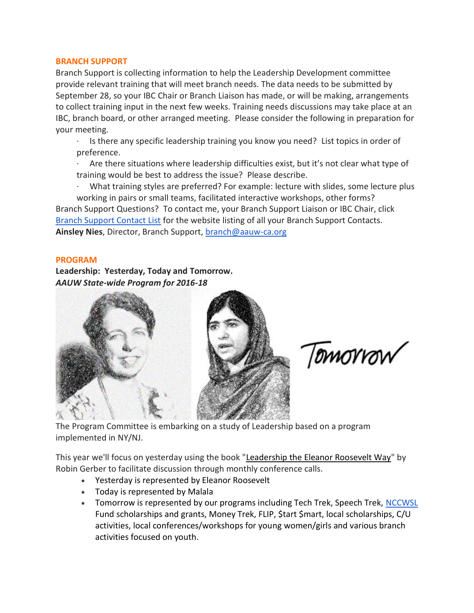### **BRANCH SUPPORT**

Branch Support is collecting information to help the Leadership Development committee provide relevant training that will meet branch needs. The data needs to be submitted by September 28, so your IBC Chair or Branch Liaison has made, or will be making, arrangements to collect training input in the next few weeks. Training needs discussions may take place at an IBC, branch board, or other arranged meeting. Please consider the following in preparation for your meeting.

· Is there any specific leadership training you know you need? List topics in order of preference.

· Are there situations where leadership difficulties exist, but it's not clear what type of training would be best to address the issue? Please describe.

· What training styles are preferred? For example: lecture with slides, some lecture plus working in pairs or small teams, facilitated interactive workshops, other forms? Branch Support Questions? To contact me, your Branch Support Liaison or IBC Chair, clic[k](http://www.aauw-ca.org/index.cfm?go=pages.view&pagesid=410&parent=332&coparent=410) [Branch Support Contact List](http://www.aauw-ca.org/index.cfm?go=pages.view&pagesid=410&parent=332&coparent=410) for the website listing of all your Branch Support Contacts. **Ainsley Nies**, Director, Branch Support, [branch@aauw-ca.org](mailto:branch@aauw-ca.org)

### **PROGRAM**

**Leadership: Yesterday, Today and Tomorrow.** *AAUW State-wide Program for 2016-18*



Tomorrow

The Program Committee is embarking on a study of Leadership based on a program implemented in NY/NJ.

This year we'll focus on yesterday using the book ["Leadership the Eleanor Roosevelt Way"](https://www.amazon.com/Leadership-Eleanor-Roosevelt-Way-Strategies/dp/1591840201) by Robin Gerber to facilitate discussion through monthly conference calls.

- Yesterday is represented by Eleanor Roosevelt
- Today is represented by Malala
- Tomorrow is represented by our programs including Tech Trek, Speech Trek, [NCCWSL](https://www.nccwsl.org/) Fund scholarships and grants, Money Trek, FLIP, \$tart \$mart, local scholarships, C/U activities, local conferences/workshops for young women/girls and various branch activities focused on youth.